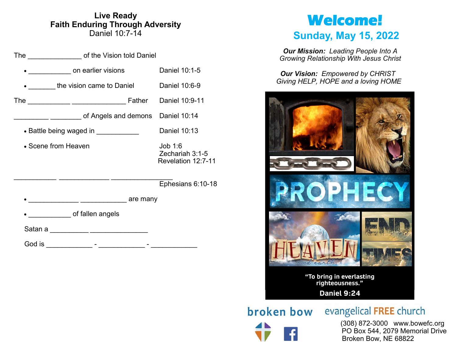### **Live Ready Faith Enduring Through Adversity** Daniel 10:7-14

|                                      | The ___________________ of the Vision told Daniel   |              |                                                  |  |
|--------------------------------------|-----------------------------------------------------|--------------|--------------------------------------------------|--|
|                                      | on earlier visions                                  |              | Daniel 10:1-5                                    |  |
|                                      | the vision came to Daniel                           |              | Daniel 10:6-9                                    |  |
|                                      | The _____________ __________________                |              | Father Daniel 10:9-11                            |  |
|                                      | _______ _________ of Angels and demons Daniel 10:14 |              |                                                  |  |
| • Battle being waged in ____________ |                                                     | Daniel 10:13 |                                                  |  |
| • Scene from Heaven                  |                                                     |              | Job 1:6<br>Zechariah 3:1-5<br>Revelation 12:7-11 |  |
|                                      |                                                     |              | Ephesians 6:10-18                                |  |
|                                      | __________ _______________ are many                 |              |                                                  |  |
|                                      | of fallen angels                                    |              |                                                  |  |
| Satan a                              | <u> 1989 - Johann John Hermer, fransk politik (</u> |              |                                                  |  |
| God is                               |                                                     |              |                                                  |  |

# **Welcome!**

# **Sunday, May 15, 2022**

*Our Mission: Leading People Into A Growing Relationship With Jesus Christ*

*Our Vision: Empowered by CHRIST Giving HELP, HOPE and a loving HOME*



broken bow

evangelical FREE church

 (308) 872-3000 www.bowefc.org PO Box 544, 2079 Memorial Drive Broken Bow, NE 68822